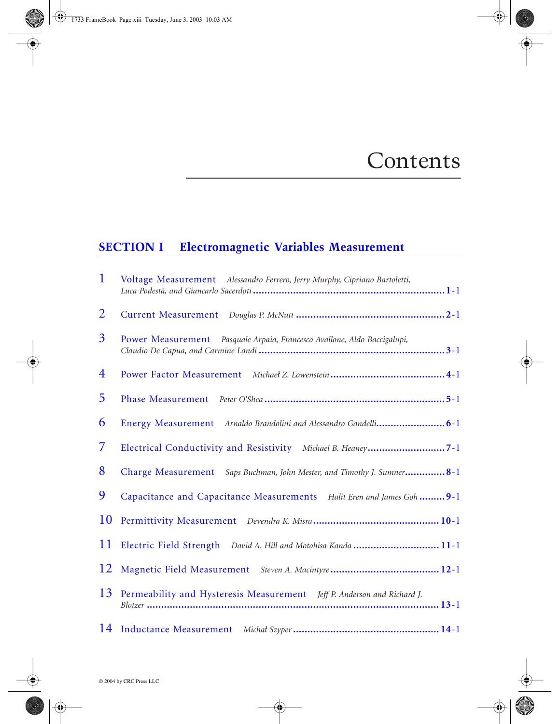## Contents

## **SECTION I Electromagnetic Variables Measurement**

| 1              | Voltage Measurement Alessandro Ferrero, Jerry Murphy, Cipriano Bartoletti, |
|----------------|----------------------------------------------------------------------------|
| $\overline{2}$ |                                                                            |
| 3              | Power Measurement Pasquale Arpaia, Francesco Avallone, Aldo Baccigalupi,   |
| 4              |                                                                            |
| 5              |                                                                            |
| 6              |                                                                            |
| 7              | Electrical Conductivity and Resistivity Michael B. Heaney7-1               |
| 8              | Charge Measurement Saps Buchman, John Mester, and Timothy J. Sumner8-1     |
| 9              | Capacitance and Capacitance Measurements Halit Eren and James Goh 9-1      |
| 10             |                                                                            |
| 11             | Electric Field Strength David A. Hill and Motohisa Kanda  11-1             |
| 12             |                                                                            |
| 13             | Permeability and Hysteresis Measurement Jeff P. Anderson and Richard J.    |
| 14             |                                                                            |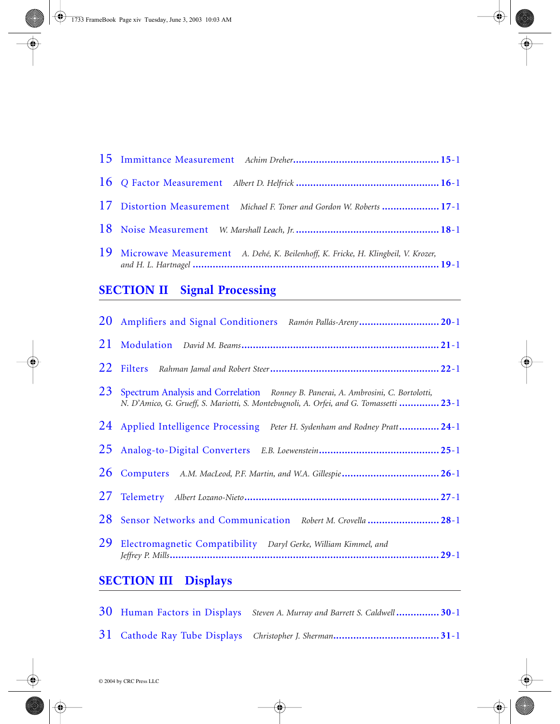| 17 Distortion Measurement Michael F. Toner and Gordon W. Roberts  17-1               |  |
|--------------------------------------------------------------------------------------|--|
|                                                                                      |  |
| 19 Microwave Measurement A. Dehé, K. Beilenhoff, K. Fricke, H. Klingbeil, V. Krozer, |  |

## **SECTION II Signal Processing**

|    | 20 Amplifiers and Signal Conditioners Ramón Pallás-Areny20-1                                                                                                                   |  |
|----|--------------------------------------------------------------------------------------------------------------------------------------------------------------------------------|--|
| 21 |                                                                                                                                                                                |  |
|    |                                                                                                                                                                                |  |
|    | 23 Spectrum Analysis and Correlation Ronney B. Panerai, A. Ambrosini, C. Bortolotti,<br>N. D'Amico, G. Grueff, S. Mariotti, S. Montebugnoli, A. Orfei, and G. Tomassetti  23-1 |  |
|    | 24 Applied Intelligence Processing Peter H. Sydenham and Rodney Pratt24-1                                                                                                      |  |
|    |                                                                                                                                                                                |  |
|    |                                                                                                                                                                                |  |
|    |                                                                                                                                                                                |  |
|    | 28 Sensor Networks and Communication Robert M. Crovella  28-1                                                                                                                  |  |
| 29 | Electromagnetic Compatibility Daryl Gerke, William Kimmel, and                                                                                                                 |  |
|    |                                                                                                                                                                                |  |

## **SECTION III Displays**

|  | 30 Human Factors in Displays Steven A. Murray and Barrett S. Caldwell30-1 |
|--|---------------------------------------------------------------------------|
|  |                                                                           |